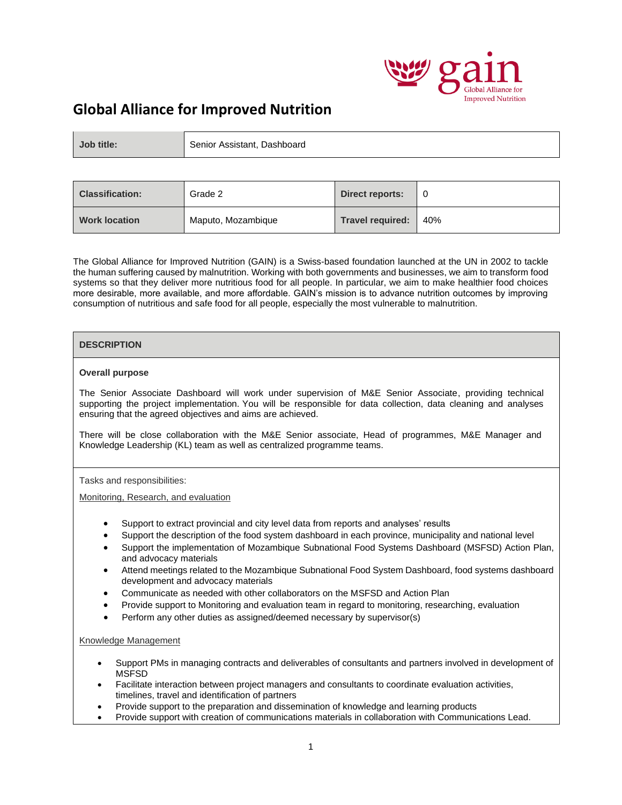

# **Global Alliance for Improved Nutrition**

| Job title: | Senior Assistant, Dashboard |
|------------|-----------------------------|
|------------|-----------------------------|

| <b>Classification:</b> | Grade 2            | Direct reports:         |     |
|------------------------|--------------------|-------------------------|-----|
| <b>Work location</b>   | Maputo, Mozambique | <b>Travel required:</b> | 40% |

The Global Alliance for Improved Nutrition (GAIN) is a Swiss-based foundation launched at the UN in 2002 to tackle the human suffering caused by malnutrition. Working with both governments and businesses, we aim to transform food systems so that they deliver more nutritious food for all people. In particular, we aim to make healthier food choices more desirable, more available, and more affordable. GAIN's mission is to advance nutrition outcomes by improving consumption of nutritious and safe food for all people, especially the most vulnerable to malnutrition.

# **DESCRIPTION**

# **Overall purpose**

The Senior Associate Dashboard will work under supervision of M&E Senior Associate, providing technical supporting the project implementation. You will be responsible for data collection, data cleaning and analyses ensuring that the agreed objectives and aims are achieved.

There will be close collaboration with the M&E Senior associate, Head of programmes, M&E Manager and Knowledge Leadership (KL) team as well as centralized programme teams.

# Tasks and responsibilities:

Monitoring, Research, and evaluation

- Support to extract provincial and city level data from reports and analyses' results
- Support the description of the food system dashboard in each province, municipality and national level
- Support the implementation of Mozambique Subnational Food Systems Dashboard (MSFSD) Action Plan, and advocacy materials
- Attend meetings related to the Mozambique Subnational Food System Dashboard, food systems dashboard development and advocacy materials
- Communicate as needed with other collaborators on the MSFSD and Action Plan
- Provide support to Monitoring and evaluation team in regard to monitoring, researching, evaluation
- Perform any other duties as assigned/deemed necessary by supervisor(s)

# Knowledge Management

- Support PMs in managing contracts and deliverables of consultants and partners involved in development of MSFSD
- Facilitate interaction between project managers and consultants to coordinate evaluation activities, timelines, travel and identification of partners
- Provide support to the preparation and dissemination of knowledge and learning products
- Provide support with creation of communications materials in collaboration with Communications Lead.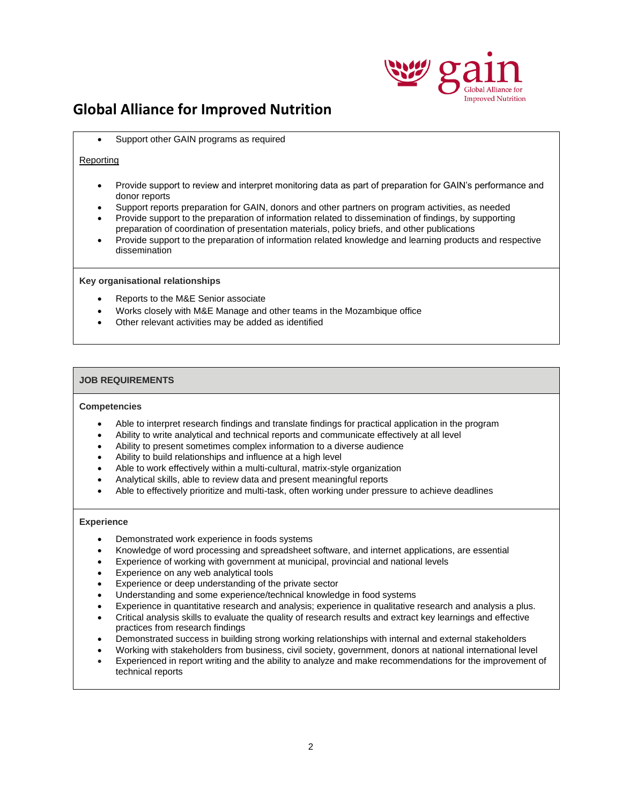

# **Global Alliance for Improved Nutrition**

• Support other GAIN programs as required

# Reporting

- Provide support to review and interpret monitoring data as part of preparation for GAIN's performance and donor reports
- Support reports preparation for GAIN, donors and other partners on program activities, as needed
- Provide support to the preparation of information related to dissemination of findings, by supporting preparation of coordination of presentation materials, policy briefs, and other publications
- Provide support to the preparation of information related knowledge and learning products and respective dissemination

#### **Key organisational relationships**

- Reports to the M&E Senior associate
- Works closely with M&E Manage and other teams in the Mozambique office
- Other relevant activities may be added as identified

# **JOB REQUIREMENTS**

#### **Competencies**

- Able to interpret research findings and translate findings for practical application in the program
- Ability to write analytical and technical reports and communicate effectively at all level
- Ability to present sometimes complex information to a diverse audience
- Ability to build relationships and influence at a high level
- Able to work effectively within a multi-cultural, matrix-style organization
- Analytical skills, able to review data and present meaningful reports
- Able to effectively prioritize and multi-task, often working under pressure to achieve deadlines

#### **Experience**

- Demonstrated work experience in foods systems
- Knowledge of word processing and spreadsheet software, and internet applications, are essential
- Experience of working with government at municipal, provincial and national levels
- Experience on any web analytical tools
- Experience or deep understanding of the private sector
- Understanding and some experience/technical knowledge in food systems
- Experience in quantitative research and analysis; experience in qualitative research and analysis a plus.
- Critical analysis skills to evaluate the quality of research results and extract key learnings and effective practices from research findings
- Demonstrated success in building strong working relationships with internal and external stakeholders
- Working with stakeholders from business, civil society, government, donors at national international level
- Experienced in report writing and the ability to analyze and make recommendations for the improvement of technical reports